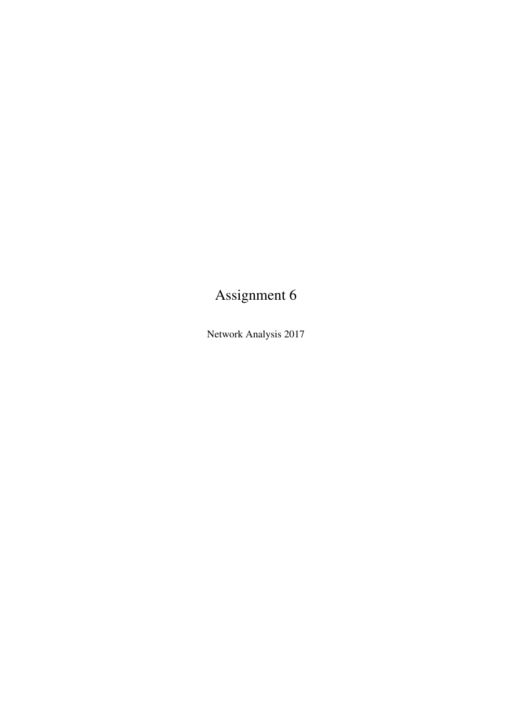# Assignment 6

Network Analysis 2017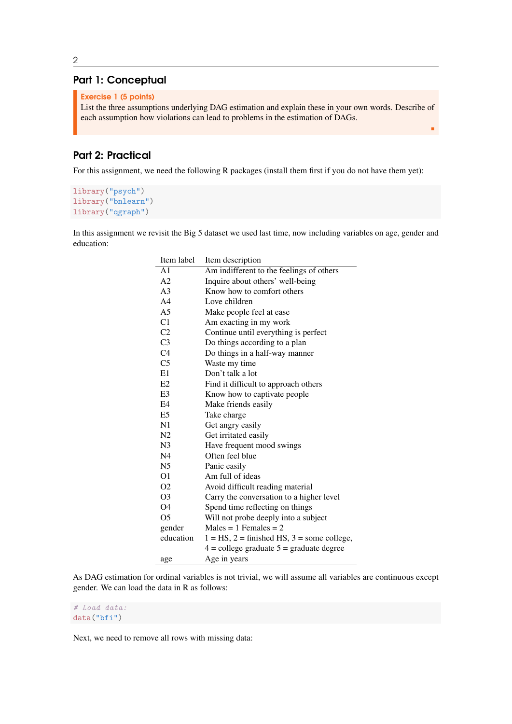### Part 1: Conceptual

```
Exercise 1 (5 points)
```
List the three assumptions underlying DAG estimation and explain these in your own words. Describe of each assumption how violations can lead to problems in the estimation of DAGs.

r

## Part 2: Practical

For this assignment, we need the following R packages (install them first if you do not have them yet):

```
library("psych")
library("bnlearn")
library("qgraph")
```
In this assignment we revisit the Big 5 dataset we used last time, now including variables on age, gender and education:

| Item label     | Item description                                  |  |  |  |
|----------------|---------------------------------------------------|--|--|--|
| A <sub>1</sub> | Am indifferent to the feelings of others          |  |  |  |
| A <sub>2</sub> | Inquire about others' well-being                  |  |  |  |
| A <sub>3</sub> | Know how to comfort others                        |  |  |  |
| A <sub>4</sub> | Love children                                     |  |  |  |
| A5             | Make people feel at ease                          |  |  |  |
| C1             | Am exacting in my work                            |  |  |  |
| C <sub>2</sub> | Continue until everything is perfect              |  |  |  |
| C <sub>3</sub> | Do things according to a plan                     |  |  |  |
| C <sub>4</sub> | Do things in a half-way manner                    |  |  |  |
| C <sub>5</sub> | Waste my time                                     |  |  |  |
| E1             | Don't talk a lot                                  |  |  |  |
| E2             | Find it difficult to approach others              |  |  |  |
| E3             | Know how to captivate people                      |  |  |  |
| E4             | Make friends easily                               |  |  |  |
| E5             | Take charge                                       |  |  |  |
| N1             | Get angry easily                                  |  |  |  |
| N2             | Get irritated easily                              |  |  |  |
| N3             | Have frequent mood swings                         |  |  |  |
| N <sub>4</sub> | Often feel blue                                   |  |  |  |
| N5             | Panic easily                                      |  |  |  |
| O1             | Am full of ideas                                  |  |  |  |
| O2             | Avoid difficult reading material                  |  |  |  |
| O <sub>3</sub> | Carry the conversation to a higher level          |  |  |  |
| O4             | Spend time reflecting on things                   |  |  |  |
| O <sub>5</sub> | Will not probe deeply into a subject              |  |  |  |
| gender         | $Males = 1$ Females = 2                           |  |  |  |
| education      | $1 = HS$ , $2 =$ finished HS, $3 =$ some college, |  |  |  |
|                | $4 =$ college graduate $5 =$ graduate degree      |  |  |  |
| age            | Age in years                                      |  |  |  |

As DAG estimation for ordinal variables is not trivial, we will assume all variables are continuous except gender. We can load the data in R as follows:

#### # Load data: data("bfi")

Next, we need to remove all rows with missing data: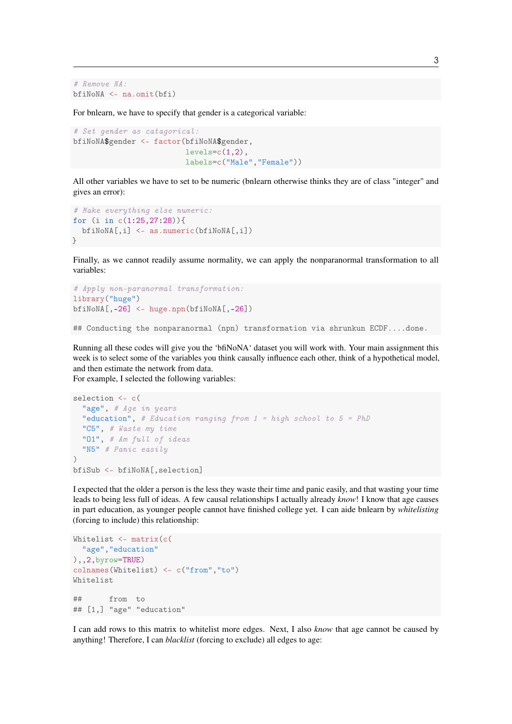```
# Remove NA:
bfiNoNA <- na.omit(bfi)
```
For bnlearn, we have to specify that gender is a categorical variable:

```
# Set gender as catagorical:
bfiNoNA$gender <- factor(bfiNoNA$gender,
                         levels=c(1,2),
                         labels=c("Male","Female"))
```
All other variables we have to set to be numeric (bnlearn otherwise thinks they are of class "integer" and gives an error):

```
# Make everything else numeric:
for (i in c(1:25,27:28)){
  bfiNoNA[,i] <- as.numeric(bfiNoNA[,i])
}
```
Finally, as we cannot readily assume normality, we can apply the nonparanormal transformation to all variables:

```
# Apply non-paranormal transformation:
library("huge")
bfiNoNA[,-26] <- huge.npn(bfiNoNA[,-26])
```
## Conducting the nonparanormal (npn) transformation via shrunkun ECDF....done.

Running all these codes will give you the 'bfiNoNA' dataset you will work with. Your main assignment this week is to select some of the variables you think causally influence each other, think of a hypothetical model, and then estimate the network from data.

For example, I selected the following variables:

```
selection <- c(
  "age", # Age in years
  "education", # Education ranging from 1 = high school to 5 = PhD"C5", # Waste my time
  "O1", # Am full of ideas
  "N5" # Panic easily
\lambdabfiSub <- bfiNoNA[,selection]
```
I expected that the older a person is the less they waste their time and panic easily, and that wasting your time leads to being less full of ideas. A few causal relationships I actually already *know*! I know that age causes in part education, as younger people cannot have finished college yet. I can aide bnlearn by *whitelisting* (forcing to include) this relationship:

```
Whitelist <- matrix(c(
 "age","education"
),,2,byrow=TRUE)
colnames(Whitelist) <- c("from","to")
Whitelist
## from to
## [1,] "age" "education"
```
I can add rows to this matrix to whitelist more edges. Next, I also *know* that age cannot be caused by anything! Therefore, I can *blacklist* (forcing to exclude) all edges to age: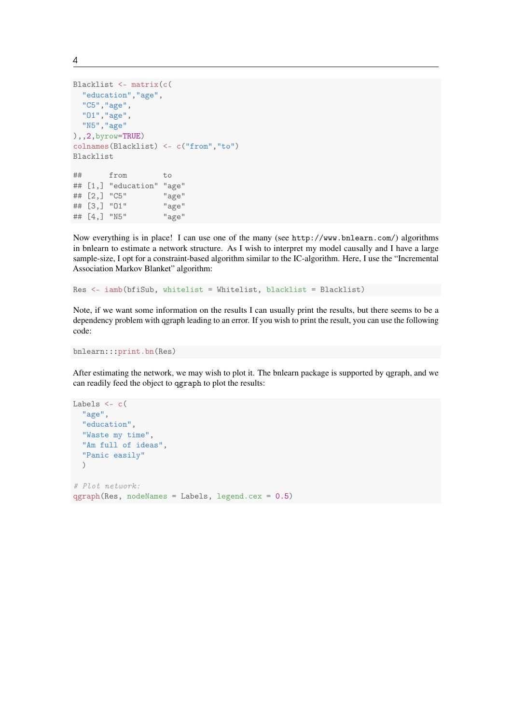```
Blacklist <- matrix(c(
 "education","age",
 "C5","age",
 "O1","age",
 "N5","age"
),,2,byrow=TRUE)
colnames(Blacklist) <- c("from","to")
Blacklist
## from to
## [1,] "education" "age"
## [2,] "C5" "age"
## [3,] "O1" "age"
## [4,] "N5" "age"
```
Now everything is in place! I can use one of the many (see <http://www.bnlearn.com/>) algorithms in bnlearn to estimate a network structure. As I wish to interpret my model causally and I have a large sample-size, I opt for a constraint-based algorithm similar to the IC-algorithm. Here, I use the "Incremental Association Markov Blanket" algorithm:

Res <- iamb(bfiSub, whitelist = Whitelist, blacklist = Blacklist)

Note, if we want some information on the results I can usually print the results, but there seems to be a dependency problem with qgraph leading to an error. If you wish to print the result, you can use the following code:

```
bnlearn:::print.bn(Res)
```
After estimating the network, we may wish to plot it. The bnlearn package is supported by qgraph, and we can readily feed the object to qgraph to plot the results:

```
Labels <- c(
  "age",
  "education",
  "Waste my time",
  "Am full of ideas",
  "Panic easily"
  )
# Plot network:
qgraph(Res, nodeNames = Labs, legend.cex = 0.5)
```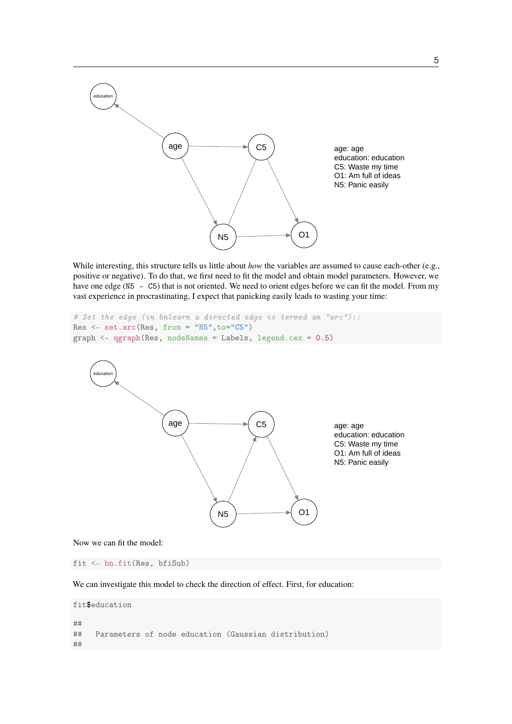

While interesting, this structure tells us little about *how* the variables are assumed to cause each-other (e.g., positive or negative). To do that, we first need to fit the model and obtain model parameters. However, we have one edge (N5 - C5) that is not oriented. We need to orient edges before we can fit the model. From my vast experience in procrastinating, I expect that panicking easily leads to wasting your time:

```
# Set the edge (in bnlearn a directed edge is termed an "arc")::
Res \leftarrow setarc(Res, from = "N5", to="C5")graph <- qgraph(Res, nodeNames = Labels, legend.cex = 0.5)
```


Now we can fit the model:

fit <- bn.fit(Res, bfiSub)

We can investigate this model to check the direction of effect. First, for education:

```
fit$education
```

```
##
## Parameters of node education (Gaussian distribution)
##
```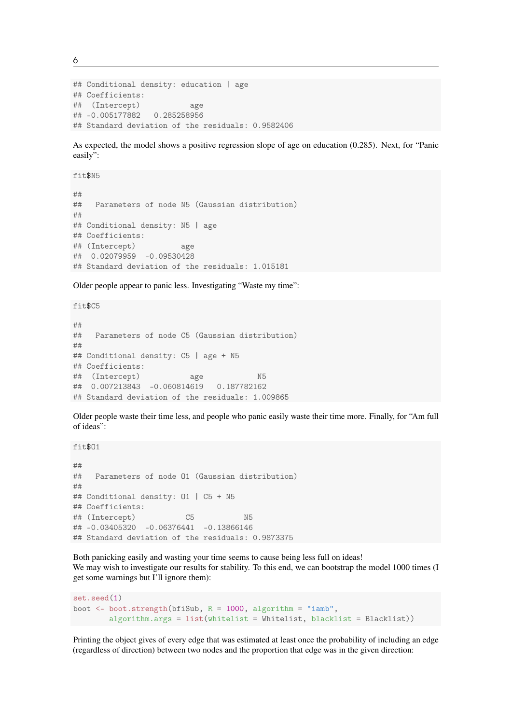6

```
## Conditional density: education | age
## Coefficients:
## (Intercept) age
## -0.005177882 0.285258956
## Standard deviation of the residuals: 0.9582406
```
As expected, the model shows a positive regression slope of age on education (0.285). Next, for "Panic easily":

fit\$N5

```
##
## Parameters of node N5 (Gaussian distribution)
##
## Conditional density: N5 | age
## Coefficients:
## (Intercept) age
## 0.02079959 -0.09530428
## Standard deviation of the residuals: 1.015181
```
Older people appear to panic less. Investigating "Waste my time":

fit\$C5

```
##
## Parameters of node C5 (Gaussian distribution)
##
## Conditional density: C5 | age + N5
## Coefficients:
## (Intercept) age N5
## 0.007213843 -0.060814619 0.187782162
## Standard deviation of the residuals: 1.009865
```
Older people waste their time less, and people who panic easily waste their time more. Finally, for "Am full of ideas":

fit\$O1

```
##
## Parameters of node O1 (Gaussian distribution)
##
## Conditional density: O1 | C5 + N5
## Coefficients:
## (Intercept) C5 N5
## -0.03405320 -0.06376441 -0.13866146
## Standard deviation of the residuals: 0.9873375
```
Both panicking easily and wasting your time seems to cause being less full on ideas! We may wish to investigate our results for stability. To this end, we can bootstrap the model 1000 times (I get some warnings but I'll ignore them):

```
set.seed(1)
boot \leq boot.strength(bfiSub, R = 1000, algorithm = "iamb",
  algorithm.args = list(whitelist = Whitelist, blacklist = Blacklist))
```
Printing the object gives of every edge that was estimated at least once the probability of including an edge (regardless of direction) between two nodes and the proportion that edge was in the given direction: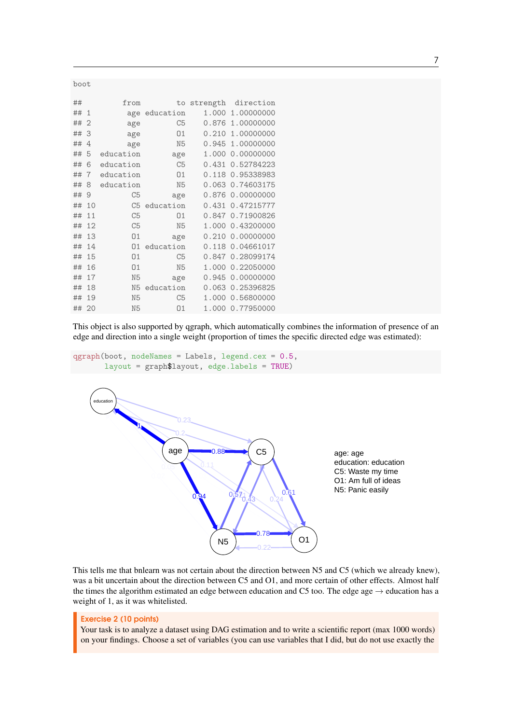| boot  |                |                |                |       |                    |  |  |
|-------|----------------|----------------|----------------|-------|--------------------|--|--|
| ##    |                | from           | to             |       | strength direction |  |  |
| ##    | 1              |                | age education  | 1.000 | 1.00000000         |  |  |
| ##    | $\overline{2}$ | age            | C5             |       | 0.876 1.00000000   |  |  |
| ##    | 3              | age            | 01             | 0.210 | 1.00000000         |  |  |
| ##    | 4              | age            | N <sub>5</sub> |       | 0.945 1.00000000   |  |  |
| ##    | 5              | education      | age            |       | 1.000 0.00000000   |  |  |
| ##    | 6              | education      | C <sub>5</sub> |       | 0.431 0.52784223   |  |  |
| ##    | 7              | education      | 01             |       | 0.118 0.95338983   |  |  |
| ##    | 8              | education      | N <sub>5</sub> |       | 0.063 0.74603175   |  |  |
| ##    | 9              | C <sub>5</sub> | age            |       | 0.876 0.00000000   |  |  |
| ##    | 10             | C <sub>5</sub> | education      | 0.431 | 0.47215777         |  |  |
| ##    | 11             | C <sub>5</sub> | 01             |       | 0.847 0.71900826   |  |  |
| ##    | 12             | C <sub>5</sub> | N <sub>5</sub> |       | 1.000 0.43200000   |  |  |
| ##    | 13             | 01             | age            |       | 0.210 0.00000000   |  |  |
| ##    | 14             | 01             | education      |       | 0.118 0.04661017   |  |  |
| ##    | 15             | 01             | C <sub>5</sub> |       | 0.847 0.28099174   |  |  |
| ##    | 16             | 01             | N <sub>5</sub> |       | 1.000 0.22050000   |  |  |
| ##    | 17             | N <sub>5</sub> | age            |       | 0.945 0.00000000   |  |  |
| ##    | 18             | N <sub>5</sub> | education      |       | 0.063 0.25396825   |  |  |
| ##    | 19             | N <sub>5</sub> | C <sub>5</sub> |       | 1.000 0.56800000   |  |  |
| ## 20 |                | N <sub>5</sub> | 01             |       | 1.000 0.77950000   |  |  |

This object is also supported by qgraph, which automatically combines the information of presence of an edge and direction into a single weight (proportion of times the specific directed edge was estimated):





This tells me that bnlearn was not certain about the direction between N5 and C5 (which we already knew), was a bit uncertain about the direction between C5 and O1, and more certain of other effects. Almost half the times the algorithm estimated an edge between education and C5 too. The edge age  $\rightarrow$  education has a weight of 1, as it was whitelisted.

#### Exercise 2 (10 points)

Your task is to analyze a dataset using DAG estimation and to write a scientific report (max 1000 words) on your findings. Choose a set of variables (you can use variables that I did, but do not use exactly the